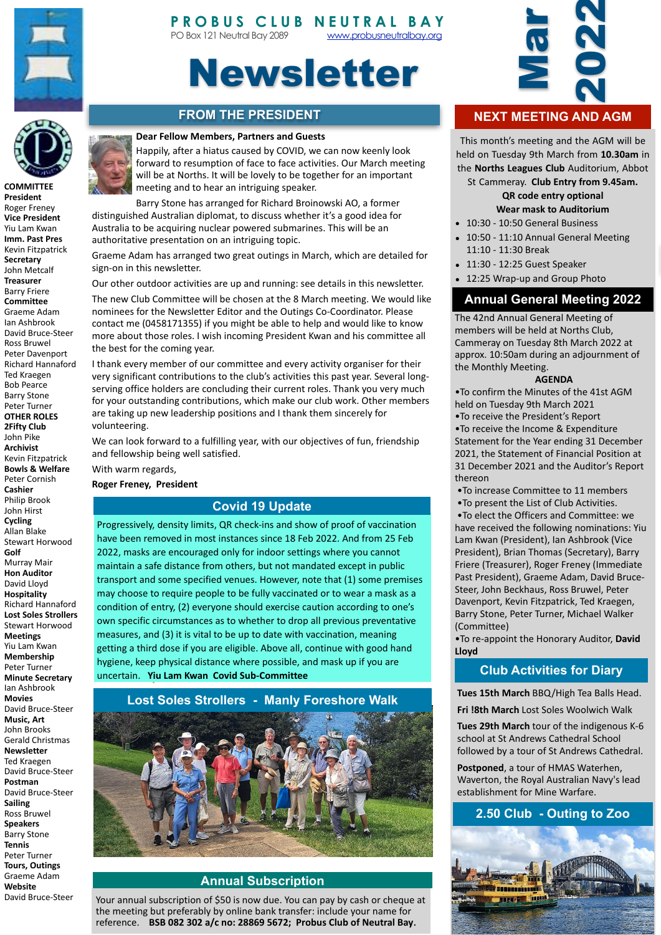



# Newsletter

# **FROM THE PRESIDENT**

#### **Dear Fellow Members, Partners and Guests**



**COMMITTEE President** Roger Freney **Vice President** Yiu Lam Kwan **Imm. Past Pres** Kevin Fitzpatrick **Secretary** John Metcalf **Treasurer** Barry Friere **Committee** Graeme Adam Ian Ashbrook David Bruce-Steer Ross Bruwel Peter Davenport Richard Hannaford Ted Kraegen Bob Pearce Barry Stone Peter Turner **OTHER ROLES 2Fifty Club** John Pike **Archivist**  Kevin Fitzpatrick **Bowls & Welfare** Peter Cornish **Cashier** Philip Brook John Hirst **Cycling** Allan Blake Stewart Horwood **Golf** Murray Mair **Hon Auditor** David Lloyd **Hospitality** Richard Hannaford **Lost Soles Strollers** Stewart Horwood **Meetings** Yiu Lam Kwan **Membership** Peter Turner **Minute Secretary** Ian Ashbrook **Movies** David Bruce-Steer **Music, Art** John Brooks Gerald Christmas **Newsletter** Ted Kraegen David Bruce-Steer **Postman** David Bruce-Steer **Sailing** Ross Bruwel **Speakers** Barry Stone **Tennis** Peter Turner **Tours, Outings** Graeme Adam **Website** David Bruce-Steer 





Barry Stone has arranged for Richard Broinowski AO, a former distinguished Australian diplomat, to discuss whether it's a good idea for Australia to be acquiring nuclear powered submarines. This will be an authoritative presentation on an intriguing topic.

Graeme Adam has arranged two great outings in March, which are detailed for sign-on in this newsletter.

Our other outdoor activities are up and running: see details in this newsletter.

The new Club Committee will be chosen at the 8 March meeting. We would like nominees for the Newsletter Editor and the Outings Co-Coordinator. Please contact me (0458171355) if you might be able to help and would like to know more about those roles. I wish incoming President Kwan and his committee all the best for the coming year.

I thank every member of our committee and every activity organiser for their very significant contributions to the club's activities this past year. Several longserving office holders are concluding their current roles. Thank you very much for your outstanding contributions, which make our club work. Other members are taking up new leadership positions and I thank them sincerely for volunteering. 

We can look forward to a fulfilling year, with our objectives of fun, friendship and fellowship being well satisfied.

With warm regards,

**Roger Freney, President** 

#### **Covid 19 Update**

Progressively, density limits, QR check-ins and show of proof of vaccination have been removed in most instances since 18 Feb 2022. And from 25 Feb 2022, masks are encouraged only for indoor settings where you cannot maintain a safe distance from others, but not mandated except in public transport and some specified venues. However, note that (1) some premises may choose to require people to be fully vaccinated or to wear a mask as a condition of entry, (2) everyone should exercise caution according to one's own specific circumstances as to whether to drop all previous preventative measures, and (3) it is vital to be up to date with vaccination, meaning getting a third dose if you are eligible. Above all, continue with good hand hygiene, keep physical distance where possible, and mask up if you are uncertain. **Yiu Lam Kwan Covid Sub-Committee**

#### **Lost Soles Strollers - Manly Foreshore Walk**



#### **Annual Subscription**

Your annual subscription of \$50 is now due. You can pay by cash or cheque at the meeting but preferably by online bank transfer: include your name for reference. BSB 082 302 a/c no: 28869 5672; Probus Club of Neutral Bay.



# **NEXT MEETING AND AGM**

This month's meeting and the AGM will be held on Tuesday 9th March from **10.30am** in the **Norths Leagues Club** Auditorium, Abbot

St Cammeray. Club Entry from 9.45am.

#### **QR** code entry optional **Wear mask to Auditorium**

- 10:30 - 10:50 General Business
- 10:50 11:10 Annual General Meeting 11:10 - 11:30 Break
- 11:30 12:25 Guest Speaker
- 12:25 Wrap-up and Group Photo

## **Annual General Meeting 2022**

The 42nd Annual General Meeting of members will be held at Norths Club, Cammeray on Tuesday 8th March 2022 at approx. 10:50am during an adjournment of the Monthly Meeting.

#### **AGENDA**

. To confirm the Minutes of the 41st AGM held on Tuesday 9th March 2021

• To receive the President's Report . To receive the Income & Expenditure Statement for the Year ending 31 December 2021, the Statement of Financial Position at 31 December 2021 and the Auditor's Report thereon 

• To increase Committee to 11 members

• To present the List of Club Activities.

 •To elect the Officers and Committee: we have received the following nominations: Yiu Lam Kwan (President), Ian Ashbrook (Vice President), Brian Thomas (Secretary), Barry Friere (Treasurer), Roger Freney (Immediate Past President), Graeme Adam, David Bruce-Steer, John Beckhaus, Ross Bruwel, Peter Davenport, Kevin Fitzpatrick, Ted Kraegen, Barry Stone, Peter Turner, Michael Walker (Committee) 

. To re-appoint the Honorary Auditor, David **Lloyd** 

## **Club Activities for Diary**

**Tues 15th March BBQ/High Tea Balls Head. Fri !8th March Lost Soles Woolwich Walk** 

**Tues 29th March** tour of the indigenous K-6 school at St Andrews Cathedral School followed by a tour of St Andrews Cathedral.

Postponed, a tour of HMAS Waterhen, Waverton, the Royal Australian Navy's lead establishment for Mine Warfare.

# **2.50 Club - Outing to Zoo**